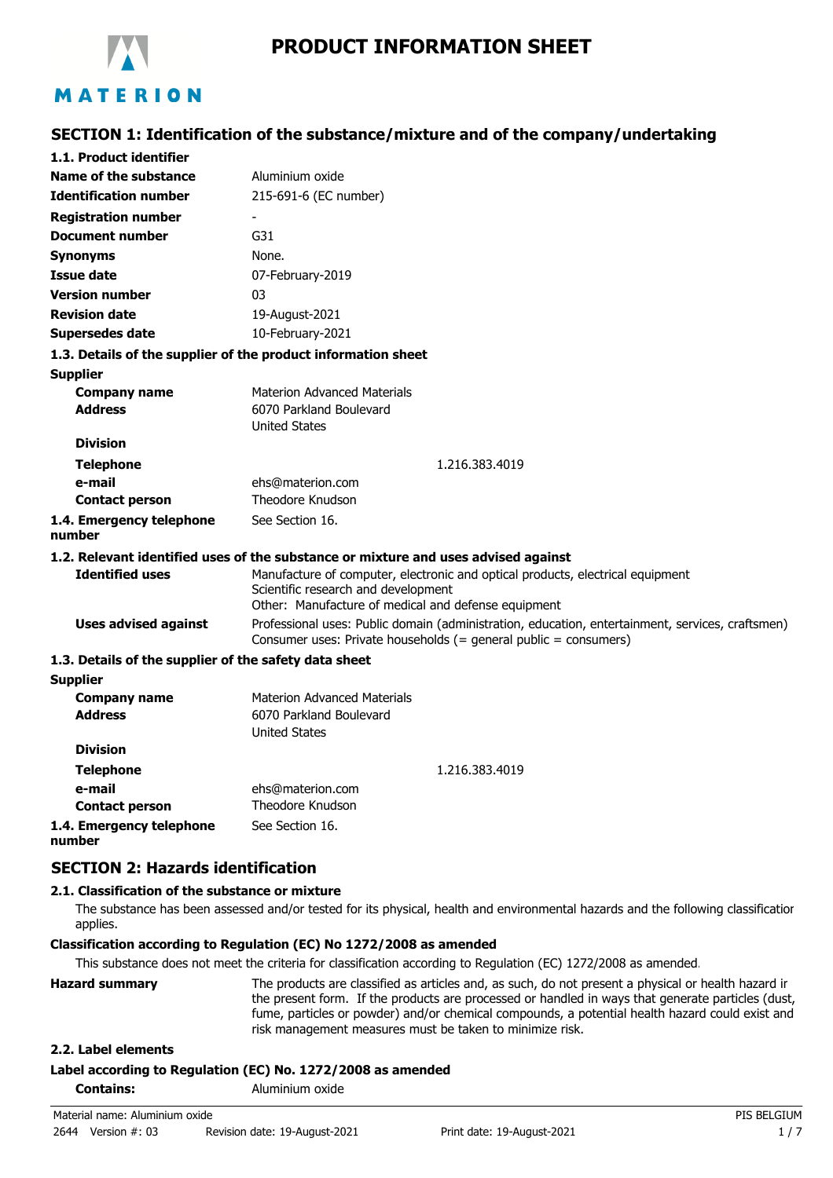

# **SECTION 1: Identification of the substance/mixture and of the company/undertaking**

| 1.1. Product identifier                               |                                                                                                                                                                      |
|-------------------------------------------------------|----------------------------------------------------------------------------------------------------------------------------------------------------------------------|
| Name of the substance                                 | Aluminium oxide                                                                                                                                                      |
| <b>Identification number</b>                          | 215-691-6 (EC number)                                                                                                                                                |
| <b>Registration number</b>                            |                                                                                                                                                                      |
| <b>Document number</b>                                | G31                                                                                                                                                                  |
| <b>Synonyms</b>                                       | None.                                                                                                                                                                |
| <b>Issue date</b>                                     | 07-February-2019                                                                                                                                                     |
| <b>Version number</b>                                 | 03                                                                                                                                                                   |
| <b>Revision date</b>                                  | 19-August-2021                                                                                                                                                       |
| <b>Supersedes date</b>                                | 10-February-2021                                                                                                                                                     |
|                                                       | 1.3. Details of the supplier of the product information sheet                                                                                                        |
| <b>Supplier</b>                                       |                                                                                                                                                                      |
| <b>Company name</b>                                   | Materion Advanced Materials                                                                                                                                          |
| <b>Address</b>                                        | 6070 Parkland Boulevard                                                                                                                                              |
|                                                       | <b>United States</b>                                                                                                                                                 |
| <b>Division</b>                                       |                                                                                                                                                                      |
| <b>Telephone</b>                                      | 1.216.383.4019                                                                                                                                                       |
| e-mail<br><b>Contact person</b>                       | ehs@materion.com<br>Theodore Knudson                                                                                                                                 |
|                                                       | See Section 16.                                                                                                                                                      |
| 1.4. Emergency telephone<br>number                    |                                                                                                                                                                      |
|                                                       | 1.2. Relevant identified uses of the substance or mixture and uses advised against                                                                                   |
| <b>Identified uses</b>                                | Manufacture of computer, electronic and optical products, electrical equipment                                                                                       |
|                                                       | Scientific research and development                                                                                                                                  |
|                                                       | Other: Manufacture of medical and defense equipment                                                                                                                  |
| <b>Uses advised against</b>                           | Professional uses: Public domain (administration, education, entertainment, services, craftsmen)<br>Consumer uses: Private households (= general public = consumers) |
| 1.3. Details of the supplier of the safety data sheet |                                                                                                                                                                      |
| <b>Supplier</b>                                       |                                                                                                                                                                      |
| <b>Company name</b>                                   | <b>Materion Advanced Materials</b>                                                                                                                                   |
| <b>Address</b>                                        | 6070 Parkland Boulevard                                                                                                                                              |
|                                                       | <b>United States</b>                                                                                                                                                 |
| <b>Division</b>                                       |                                                                                                                                                                      |
| <b>Telephone</b>                                      | 1.216.383.4019                                                                                                                                                       |
| e-mail                                                | ehs@materion.com                                                                                                                                                     |
| <b>Contact person</b>                                 | <b>Theodore Knudson</b>                                                                                                                                              |
| 1.4. Emergency telephone                              | See Section 16.                                                                                                                                                      |

**number**

# **SECTION 2: Hazards identification**

### **2.1. Classification of the substance or mixture**

The substance has been assessed and/or tested for its physical, health and environmental hazards and the following classification applies.

### **Classification according to Regulation (EC) No 1272/2008 as amended**

This substance does not meet the criteria for classification according to Regulation (EC) 1272/2008 as amended.

| <b>Hazard summary</b> | The products are classified as articles and, as such, do not present a physical or health hazard ir<br>the present form. If the products are processed or handled in ways that generate particles (dust,<br>fume, particles or powder) and/or chemical compounds, a potential health hazard could exist and<br>risk management measures must be taken to minimize risk. |
|-----------------------|-------------------------------------------------------------------------------------------------------------------------------------------------------------------------------------------------------------------------------------------------------------------------------------------------------------------------------------------------------------------------|
|                       |                                                                                                                                                                                                                                                                                                                                                                         |

### **2.2. Label elements**

# **Label according to Regulation (EC) No. 1272/2008 as amended**

**Contains:** Aluminium oxide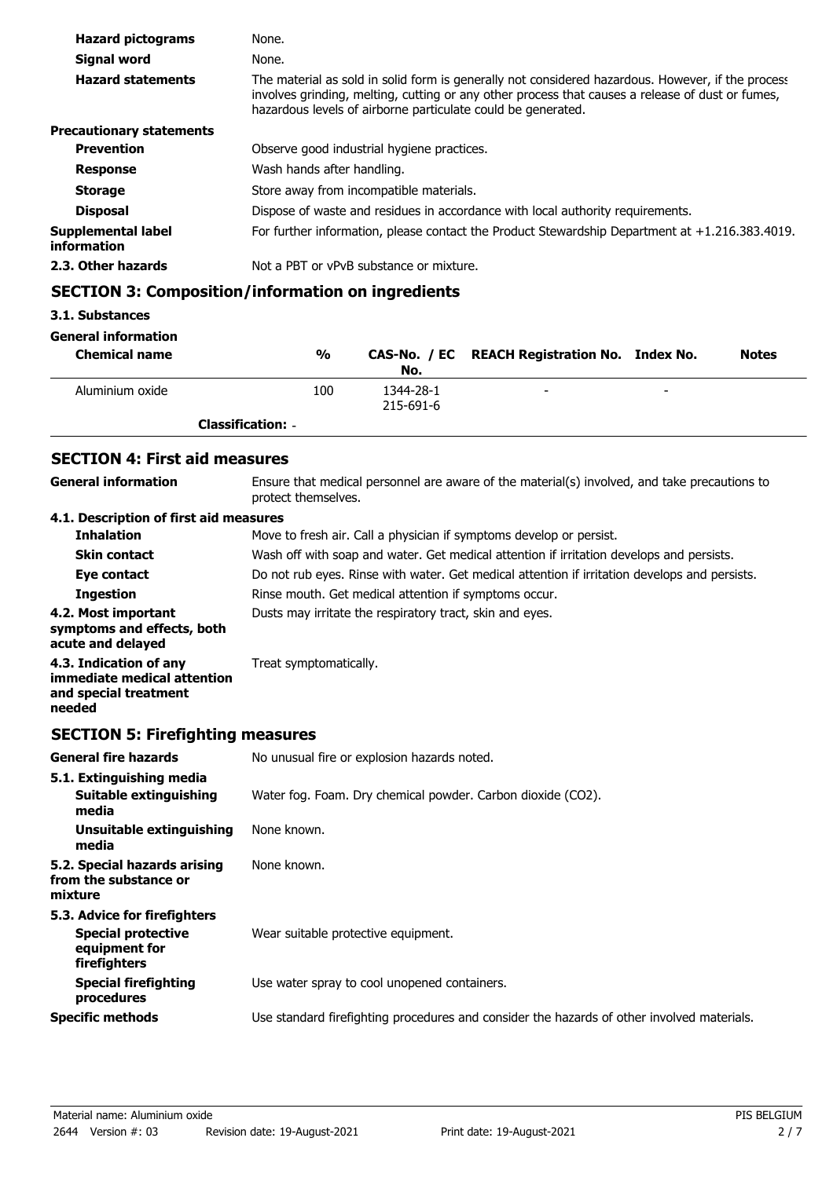| <b>Hazard pictograms</b>          | None.                                                                                                                                                                                                                                                                 |
|-----------------------------------|-----------------------------------------------------------------------------------------------------------------------------------------------------------------------------------------------------------------------------------------------------------------------|
| Signal word                       | None.                                                                                                                                                                                                                                                                 |
| <b>Hazard statements</b>          | The material as sold in solid form is generally not considered hazardous. However, if the process<br>involves grinding, melting, cutting or any other process that causes a release of dust or fumes,<br>hazardous levels of airborne particulate could be generated. |
| <b>Precautionary statements</b>   |                                                                                                                                                                                                                                                                       |
| <b>Prevention</b>                 | Observe good industrial hygiene practices.                                                                                                                                                                                                                            |
| <b>Response</b>                   | Wash hands after handling.                                                                                                                                                                                                                                            |
| <b>Storage</b>                    | Store away from incompatible materials.                                                                                                                                                                                                                               |
| <b>Disposal</b>                   | Dispose of waste and residues in accordance with local authority requirements.                                                                                                                                                                                        |
| Supplemental label<br>information | For further information, please contact the Product Stewardship Department at $+1.216.383.4019$ .                                                                                                                                                                     |
| 2.3. Other hazards                | Not a PBT or vPvB substance or mixture.                                                                                                                                                                                                                               |

# **SECTION 3: Composition/information on ingredients**

# **3.1. Substances**

#### **General information**

| <b>Chemical name</b> | $\frac{0}{0}$            | No.                    | CAS-No. / EC REACH Registration No. Index No. |                          | <b>Notes</b> |
|----------------------|--------------------------|------------------------|-----------------------------------------------|--------------------------|--------------|
| Aluminium oxide      | 100                      | 1344-28-1<br>215-691-6 | $\overline{\phantom{0}}$                      | $\overline{\phantom{0}}$ |              |
|                      | <b>Classification: -</b> |                        |                                               |                          |              |

# **SECTION 4: First aid measures**

| General information                                                                      | Ensure that medical personnel are aware of the material(s) involved, and take precautions to<br>protect themselves. |  |  |
|------------------------------------------------------------------------------------------|---------------------------------------------------------------------------------------------------------------------|--|--|
| 4.1. Description of first aid measures                                                   |                                                                                                                     |  |  |
| <b>Inhalation</b>                                                                        | Move to fresh air. Call a physician if symptoms develop or persist.                                                 |  |  |
| <b>Skin contact</b>                                                                      | Wash off with soap and water. Get medical attention if irritation develops and persists.                            |  |  |
| Eye contact                                                                              | Do not rub eyes. Rinse with water. Get medical attention if irritation develops and persists.                       |  |  |
| <b>Ingestion</b>                                                                         | Rinse mouth. Get medical attention if symptoms occur.                                                               |  |  |
| 4.2. Most important<br>symptoms and effects, both<br>acute and delayed                   | Dusts may irritate the respiratory tract, skin and eyes.                                                            |  |  |
| 4.3. Indication of any<br>immediate medical attention<br>and special treatment<br>needed | Treat symptomatically.                                                                                              |  |  |

# **SECTION 5: Firefighting measures**

| <b>General fire hazards</b>                                                                | No unusual fire or explosion hazards noted.                                                |  |  |
|--------------------------------------------------------------------------------------------|--------------------------------------------------------------------------------------------|--|--|
| 5.1. Extinguishing media                                                                   |                                                                                            |  |  |
| Suitable extinguishing<br>media                                                            | Water fog. Foam. Dry chemical powder. Carbon dioxide (CO2).                                |  |  |
| Unsuitable extinguishing<br>media                                                          | None known.                                                                                |  |  |
| 5.2. Special hazards arising<br>from the substance or<br>mixture                           | None known.                                                                                |  |  |
| 5.3. Advice for firefighters<br><b>Special protective</b><br>equipment for<br>firefighters | Wear suitable protective equipment.                                                        |  |  |
| <b>Special firefighting</b><br>procedures                                                  | Use water spray to cool unopened containers.                                               |  |  |
| <b>Specific methods</b>                                                                    | Use standard firefighting procedures and consider the hazards of other involved materials. |  |  |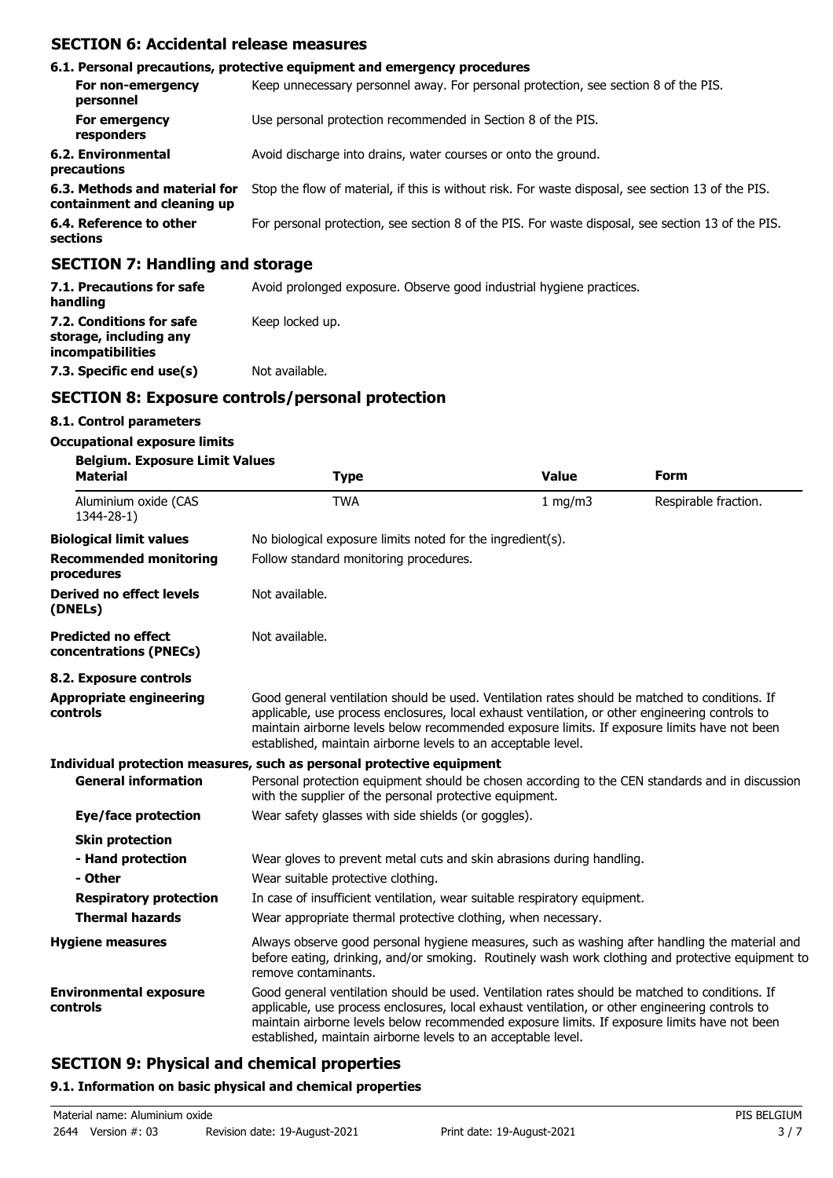## **SECTION 6: Accidental release measures**

|                                                              | 6.1. Personal precautions, protective equipment and emergency procedures                           |  |  |
|--------------------------------------------------------------|----------------------------------------------------------------------------------------------------|--|--|
| For non-emergency<br>personnel                               | Keep unnecessary personnel away. For personal protection, see section 8 of the PIS.                |  |  |
| For emergency<br>responders                                  | Use personal protection recommended in Section 8 of the PIS.                                       |  |  |
| 6.2. Environmental<br>precautions                            | Avoid discharge into drains, water courses or onto the ground.                                     |  |  |
| 6.3. Methods and material for<br>containment and cleaning up | Stop the flow of material, if this is without risk. For waste disposal, see section 13 of the PIS. |  |  |
| 6.4. Reference to other<br>sections                          | For personal protection, see section 8 of the PIS. For waste disposal, see section 13 of the PIS.  |  |  |
| <b>SECTION 7: Handling and storage</b>                       |                                                                                                    |  |  |

### **SECTION 7: Handling and storage**

| 7.1. Precautions for safe<br>handling                                          | Avoid prolonged exposure. Observe good industrial hygiene practices. |  |  |
|--------------------------------------------------------------------------------|----------------------------------------------------------------------|--|--|
| 7.2. Conditions for safe<br>storage, including any<br><i>incompatibilities</i> | Keep locked up.                                                      |  |  |
| 7.3. Specific end use(s)                                                       | Not available.                                                       |  |  |

# **SECTION 8: Exposure controls/personal protection**

## **8.1. Control parameters**

### **Occupational exposure limits**

| <b>Belgium. Exposure Limit Values</b><br><b>Material</b> | <b>Type</b>                                                                                                                                                                                                                                                                                                                                                        | <b>Value</b> | <b>Form</b>          |  |  |
|----------------------------------------------------------|--------------------------------------------------------------------------------------------------------------------------------------------------------------------------------------------------------------------------------------------------------------------------------------------------------------------------------------------------------------------|--------------|----------------------|--|--|
| Aluminium oxide (CAS<br>1344-28-1)                       | <b>TWA</b>                                                                                                                                                                                                                                                                                                                                                         | 1 mg/m3      | Respirable fraction. |  |  |
| <b>Biological limit values</b>                           | No biological exposure limits noted for the ingredient(s).                                                                                                                                                                                                                                                                                                         |              |                      |  |  |
| <b>Recommended monitoring</b><br>procedures              | Follow standard monitoring procedures.                                                                                                                                                                                                                                                                                                                             |              |                      |  |  |
| <b>Derived no effect levels</b><br>(DNELs)               | Not available.                                                                                                                                                                                                                                                                                                                                                     |              |                      |  |  |
| <b>Predicted no effect</b><br>concentrations (PNECs)     | Not available.                                                                                                                                                                                                                                                                                                                                                     |              |                      |  |  |
| 8.2. Exposure controls                                   |                                                                                                                                                                                                                                                                                                                                                                    |              |                      |  |  |
| <b>Appropriate engineering</b><br>controls               | Good general ventilation should be used. Ventilation rates should be matched to conditions. If<br>applicable, use process enclosures, local exhaust ventilation, or other engineering controls to<br>maintain airborne levels below recommended exposure limits. If exposure limits have not been<br>established, maintain airborne levels to an acceptable level. |              |                      |  |  |
|                                                          | Individual protection measures, such as personal protective equipment                                                                                                                                                                                                                                                                                              |              |                      |  |  |
| <b>General information</b>                               | Personal protection equipment should be chosen according to the CEN standards and in discussion<br>with the supplier of the personal protective equipment.                                                                                                                                                                                                         |              |                      |  |  |
| Eye/face protection                                      | Wear safety glasses with side shields (or goggles).                                                                                                                                                                                                                                                                                                                |              |                      |  |  |
| <b>Skin protection</b>                                   |                                                                                                                                                                                                                                                                                                                                                                    |              |                      |  |  |
| - Hand protection                                        | Wear gloves to prevent metal cuts and skin abrasions during handling.                                                                                                                                                                                                                                                                                              |              |                      |  |  |
| - Other                                                  | Wear suitable protective clothing.                                                                                                                                                                                                                                                                                                                                 |              |                      |  |  |
| <b>Respiratory protection</b>                            | In case of insufficient ventilation, wear suitable respiratory equipment.                                                                                                                                                                                                                                                                                          |              |                      |  |  |
| <b>Thermal hazards</b>                                   | Wear appropriate thermal protective clothing, when necessary.                                                                                                                                                                                                                                                                                                      |              |                      |  |  |
| <b>Hygiene measures</b>                                  | Always observe good personal hygiene measures, such as washing after handling the material and<br>before eating, drinking, and/or smoking. Routinely wash work clothing and protective equipment to<br>remove contaminants.                                                                                                                                        |              |                      |  |  |
| <b>Environmental exposure</b><br>controls                | Good general ventilation should be used. Ventilation rates should be matched to conditions. If<br>applicable, use process enclosures, local exhaust ventilation, or other engineering controls to<br>maintain airborne levels below recommended exposure limits. If exposure limits have not been<br>established, maintain airborne levels to an acceptable level. |              |                      |  |  |

# **SECTION 9: Physical and chemical properties**

### **9.1. Information on basic physical and chemical properties**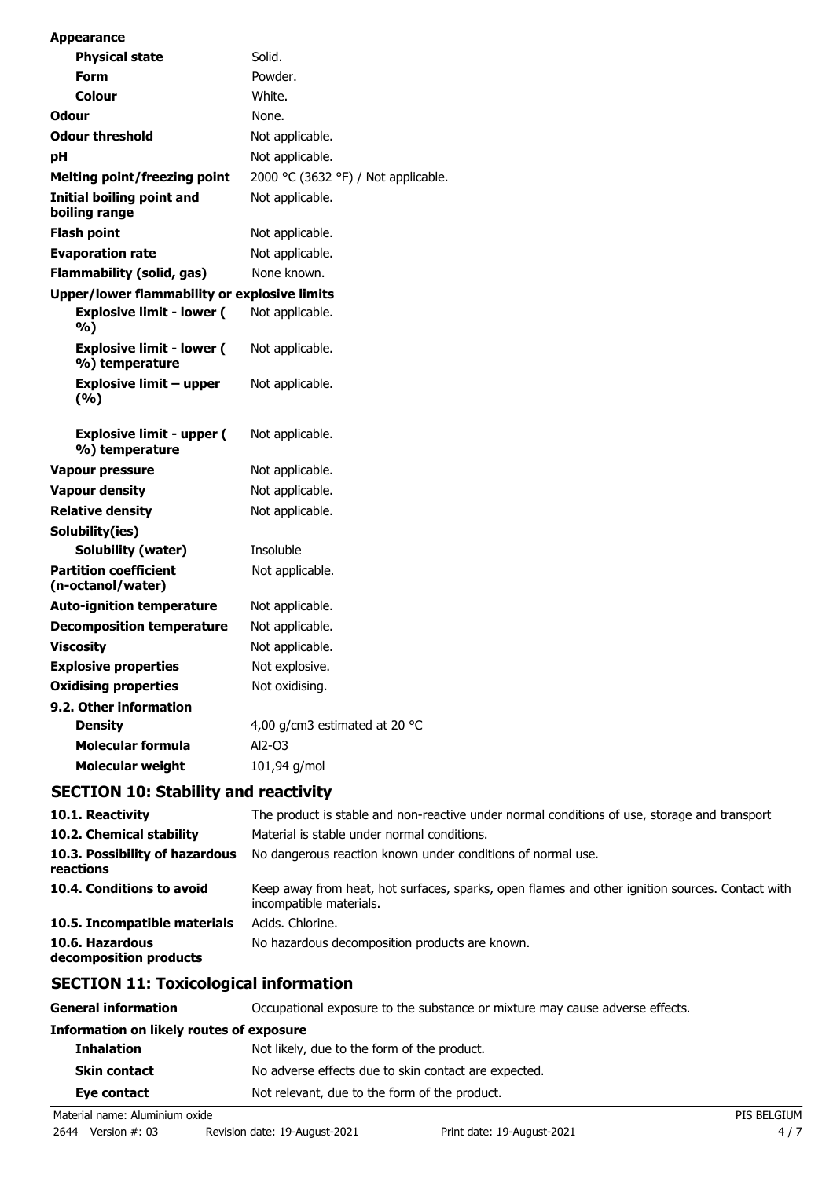| <b>Appearance</b>                                  |                                                                                              |
|----------------------------------------------------|----------------------------------------------------------------------------------------------|
| <b>Physical state</b>                              | Solid.                                                                                       |
| Form                                               | Powder.                                                                                      |
| Colour                                             | White.                                                                                       |
| <b>Odour</b>                                       | None.                                                                                        |
| <b>Odour threshold</b>                             | Not applicable.                                                                              |
| pH                                                 | Not applicable.                                                                              |
| <b>Melting point/freezing point</b>                | 2000 °C (3632 °F) / Not applicable.                                                          |
| Initial boiling point and<br>boiling range         | Not applicable.                                                                              |
| <b>Flash point</b>                                 | Not applicable.                                                                              |
| <b>Evaporation rate</b>                            | Not applicable.                                                                              |
| <b>Flammability (solid, gas)</b>                   | None known.                                                                                  |
| Upper/lower flammability or explosive limits       |                                                                                              |
| <b>Explosive limit - lower (</b><br>%)             | Not applicable.                                                                              |
| <b>Explosive limit - lower (</b><br>%) temperature | Not applicable.                                                                              |
| <b>Explosive limit - upper</b><br>(%)              | Not applicable.                                                                              |
| <b>Explosive limit - upper (</b><br>%) temperature | Not applicable.                                                                              |
| <b>Vapour pressure</b>                             | Not applicable.                                                                              |
| <b>Vapour density</b>                              | Not applicable.                                                                              |
| <b>Relative density</b>                            | Not applicable.                                                                              |
| Solubility(ies)                                    |                                                                                              |
| <b>Solubility (water)</b>                          | Insoluble                                                                                    |
| <b>Partition coefficient</b><br>(n-octanol/water)  | Not applicable.                                                                              |
| <b>Auto-ignition temperature</b>                   | Not applicable.                                                                              |
| <b>Decomposition temperature</b>                   | Not applicable.                                                                              |
| <b>Viscosity</b>                                   | Not applicable.                                                                              |
| <b>Explosive properties</b>                        | Not explosive.                                                                               |
| <b>Oxidising properties</b>                        | Not oxidising.                                                                               |
| 9.2. Other information                             |                                                                                              |
| <b>Density</b>                                     | 4,00 g/cm3 estimated at 20 °C                                                                |
| <b>Molecular formula</b>                           | Al2-03                                                                                       |
| <b>Molecular weight</b>                            | 101,94 g/mol                                                                                 |
| <b>SECTION 10: Stability and reactivity</b>        |                                                                                              |
| 10.1. Reactivity                                   | The product is stable and non-reactive under normal conditions of use, storage and transport |
| 10.2. Chemical stability                           | Material is stable under normal conditions.                                                  |
| 10.3. Possibility of hazardous<br>reactions        | No dangerous reaction known under conditions of normal use.                                  |

| 10.4. Conditions to avoid    | Keep away from heat, hot surfaces, sparks, open flames and other ignition sources. Contact with<br>incompatible materials. |
|------------------------------|----------------------------------------------------------------------------------------------------------------------------|
| 10.5. Incompatible materials | Acids. Chlorine.                                                                                                           |
| 10.6. Hazardous              | No hazardous decomposition products are known.                                                                             |

**decomposition products**

# **SECTION 11: Toxicological information**

| <b>General information</b>               | Occupational exposure to the substance or mixture may cause adverse effects. |             |  |
|------------------------------------------|------------------------------------------------------------------------------|-------------|--|
| Information on likely routes of exposure |                                                                              |             |  |
| <b>Inhalation</b>                        | Not likely, due to the form of the product.                                  |             |  |
| <b>Skin contact</b>                      | No adverse effects due to skin contact are expected.                         |             |  |
| Eye contact                              | Not relevant, due to the form of the product.                                |             |  |
| Material name: Aluminium oxide           |                                                                              | PIS BELGIUM |  |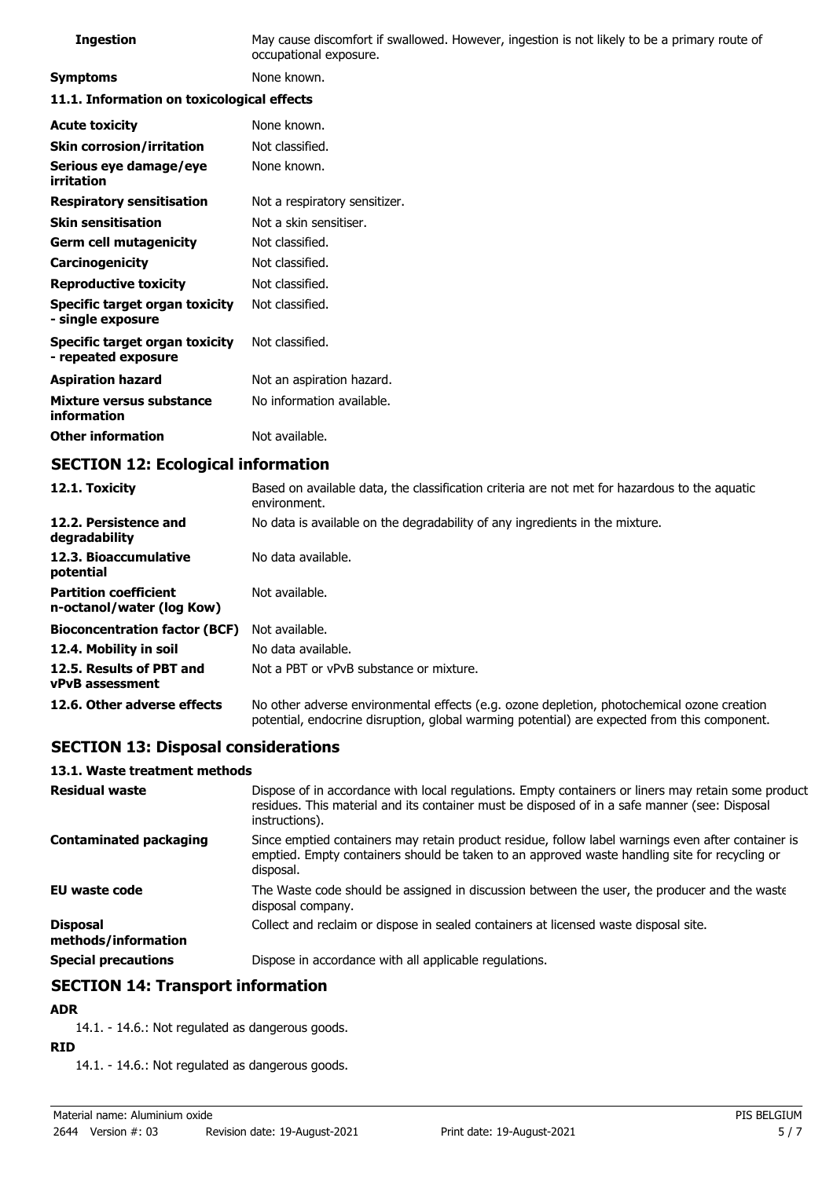| <b>Ingestion</b>                                           | May cause discomfort if swallowed. However, ingestion is not likely to be a primary route of<br>occupational exposure. |  |  |
|------------------------------------------------------------|------------------------------------------------------------------------------------------------------------------------|--|--|
| <b>Symptoms</b>                                            | None known.                                                                                                            |  |  |
| 11.1. Information on toxicological effects                 |                                                                                                                        |  |  |
| <b>Acute toxicity</b>                                      | None known.                                                                                                            |  |  |
| <b>Skin corrosion/irritation</b>                           | Not classified.                                                                                                        |  |  |
| Serious eye damage/eye<br>irritation                       | None known.                                                                                                            |  |  |
| <b>Respiratory sensitisation</b>                           | Not a respiratory sensitizer.                                                                                          |  |  |
| <b>Skin sensitisation</b>                                  | Not a skin sensitiser.                                                                                                 |  |  |
| <b>Germ cell mutagenicity</b>                              | Not classified.                                                                                                        |  |  |
| Carcinogenicity                                            | Not classified.                                                                                                        |  |  |
| <b>Reproductive toxicity</b>                               | Not classified.                                                                                                        |  |  |
| <b>Specific target organ toxicity</b><br>- single exposure | Not classified.                                                                                                        |  |  |
| Specific target organ toxicity<br>- repeated exposure      | Not classified.                                                                                                        |  |  |
| <b>Aspiration hazard</b>                                   | Not an aspiration hazard.                                                                                              |  |  |
| Mixture versus substance<br>information                    | No information available.                                                                                              |  |  |
| <b>Other information</b>                                   | Not available.                                                                                                         |  |  |

# **SECTION 12: Ecological information**

| 12.1. Toxicity                                            | Based on available data, the classification criteria are not met for hazardous to the aquatic<br>environment.                                                                              |
|-----------------------------------------------------------|--------------------------------------------------------------------------------------------------------------------------------------------------------------------------------------------|
| 12.2. Persistence and<br>degradability                    | No data is available on the degradability of any ingredients in the mixture.                                                                                                               |
| 12.3. Bioaccumulative<br>potential                        | No data available.                                                                                                                                                                         |
| <b>Partition coefficient</b><br>n-octanol/water (log Kow) | Not available.                                                                                                                                                                             |
| <b>Bioconcentration factor (BCF)</b>                      | Not available.                                                                                                                                                                             |
| 12.4. Mobility in soil                                    | No data available.                                                                                                                                                                         |
| 12.5. Results of PBT and<br><b>vPvB</b> assessment        | Not a PBT or vPvB substance or mixture.                                                                                                                                                    |
| 12.6. Other adverse effects                               | No other adverse environmental effects (e.g. ozone depletion, photochemical ozone creation<br>potential, endocrine disruption, global warming potential) are expected from this component. |

# **SECTION 13: Disposal considerations**

#### **13.1. Waste treatment methods**

| <b>Residual waste</b>                  | Dispose of in accordance with local regulations. Empty containers or liners may retain some product<br>residues. This material and its container must be disposed of in a safe manner (see: Disposal<br>instructions). |
|----------------------------------------|------------------------------------------------------------------------------------------------------------------------------------------------------------------------------------------------------------------------|
| <b>Contaminated packaging</b>          | Since emptied containers may retain product residue, follow label warnings even after container is<br>emptied. Empty containers should be taken to an approved waste handling site for recycling or<br>disposal.       |
| <b>EU waste code</b>                   | The Waste code should be assigned in discussion between the user, the producer and the waste<br>disposal company.                                                                                                      |
| <b>Disposal</b><br>methods/information | Collect and reclaim or dispose in sealed containers at licensed waste disposal site.                                                                                                                                   |
| <b>Special precautions</b>             | Dispose in accordance with all applicable regulations.                                                                                                                                                                 |

# **SECTION 14: Transport information**

### **ADR**

14.1. - 14.6.: Not regulated as dangerous goods.

## **RID**

14.1. - 14.6.: Not regulated as dangerous goods.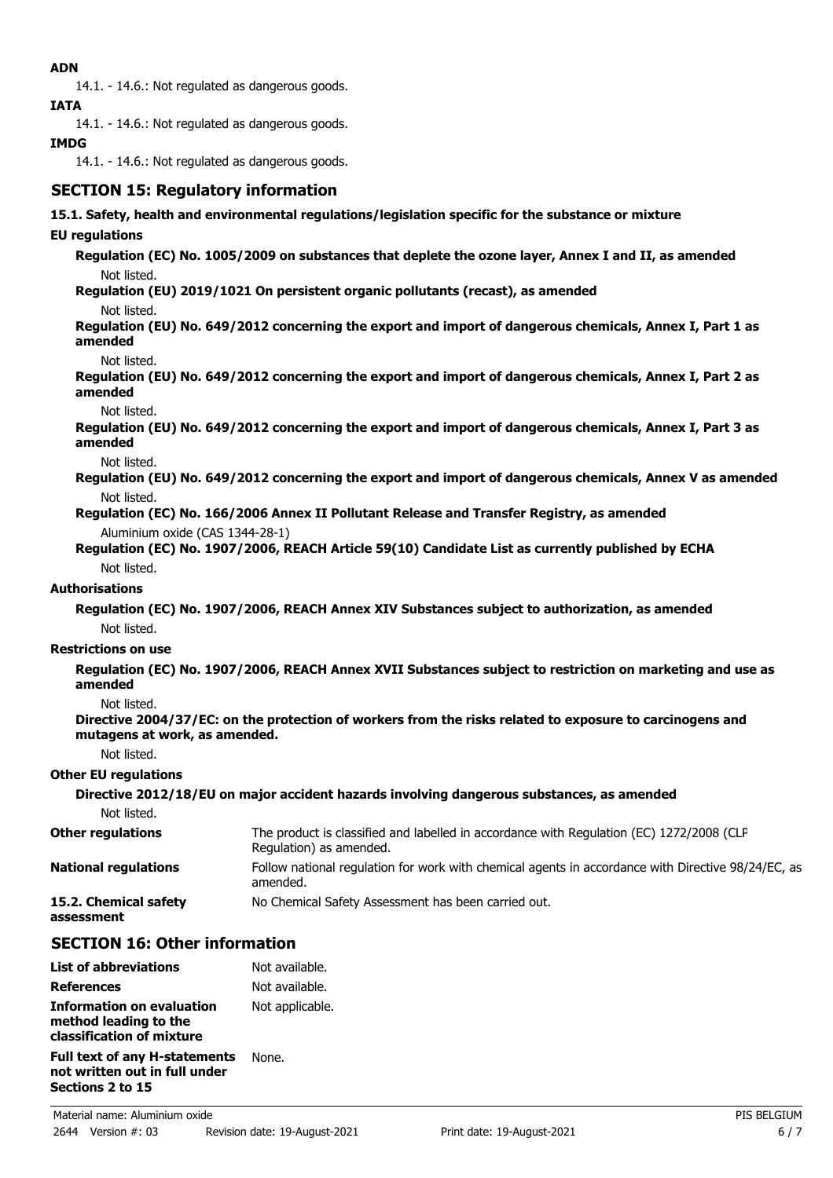### **ADN**

14.1. - 14.6.: Not regulated as dangerous goods.

**IATA**

14.1. - 14.6.: Not regulated as dangerous goods.

### **IMDG**

14.1. - 14.6.: Not regulated as dangerous goods.

# **SECTION 15: Regulatory information**

#### **15.1. Safety, health and environmental regulations/legislation specific for the substance or mixture**

#### **EU regulations**

**Regulation (EC) No. 1005/2009 on substances that deplete the ozone layer, Annex I and II, as amended** Not listed.

**Regulation (EU) 2019/1021 On persistent organic pollutants (recast), as amended**

Not listed.

**Regulation (EU) No. 649/2012 concerning the export and import of dangerous chemicals, Annex I, Part 1 as amended**

Not listed.

**Regulation (EU) No. 649/2012 concerning the export and import of dangerous chemicals, Annex I, Part 2 as amended**

Not listed.

**Regulation (EU) No. 649/2012 concerning the export and import of dangerous chemicals, Annex I, Part 3 as amended**

Not listed.

**Regulation (EU) No. 649/2012 concerning the export and import of dangerous chemicals, Annex V as amended** Not listed.

**Regulation (EC) No. 166/2006 Annex II Pollutant Release and Transfer Registry, as amended** Aluminium oxide (CAS 1344-28-1)

**Regulation (EC) No. 1907/2006, REACH Article 59(10) Candidate List as currently published by ECHA** Not listed.

#### **Authorisations**

**Regulation (EC) No. 1907/2006, REACH Annex XIV Substances subject to authorization, as amended** Not listed.

### **Restrictions on use**

**Regulation (EC) No. 1907/2006, REACH Annex XVII Substances subject to restriction on marketing and use as amended**

Not listed.

**Directive 2004/37/EC: on the protection of workers from the risks related to exposure to carcinogens and mutagens at work, as amended.**

Not listed.

### **Other EU regulations**

**Sections 2 to 15**

|                                     | Directive 2012/18/EU on major accident hazards involving dangerous substances, as amended                           |
|-------------------------------------|---------------------------------------------------------------------------------------------------------------------|
| Not listed.                         |                                                                                                                     |
| <b>Other regulations</b>            | The product is classified and labelled in accordance with Regulation (EC) 1272/2008 (CLP<br>Regulation) as amended. |
| <b>National regulations</b>         | Follow national regulation for work with chemical agents in accordance with Directive 98/24/EC, as<br>amended.      |
| 15.2. Chemical safety<br>assessment | No Chemical Safety Assessment has been carried out.                                                                 |

### **SECTION 16: Other information**

| <b>List of abbreviations</b>                                                    | Not available.  |
|---------------------------------------------------------------------------------|-----------------|
| <b>References</b>                                                               | Not available.  |
| Information on evaluation<br>method leading to the<br>classification of mixture | Not applicable. |
| <b>Full text of any H-statements</b><br>not written out in full under           | None.           |